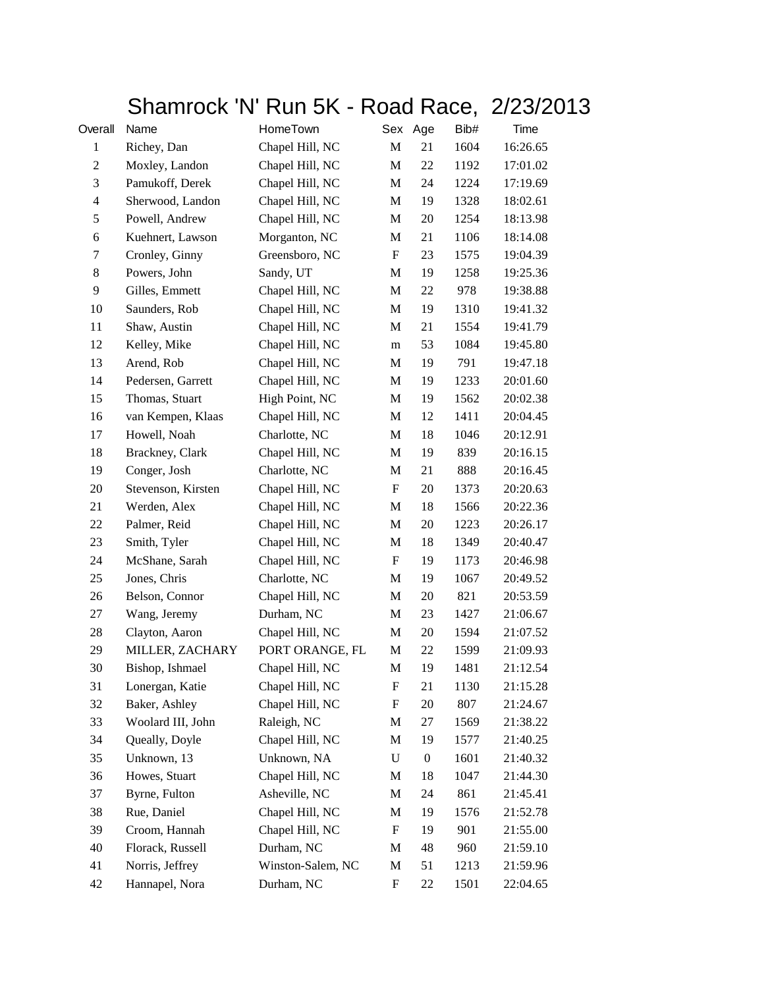## Shamrock 'N' Run 5K - Road Race, 2/23/2013

| Overall                  | Name               | HomeTown          | Sex                       | Age              | Bib# | Time     |
|--------------------------|--------------------|-------------------|---------------------------|------------------|------|----------|
| $\mathbf{1}$             | Richey, Dan        | Chapel Hill, NC   | M                         | 21               | 1604 | 16:26.65 |
| $\boldsymbol{2}$         | Moxley, Landon     | Chapel Hill, NC   | M                         | 22               | 1192 | 17:01.02 |
| 3                        | Pamukoff, Derek    | Chapel Hill, NC   | M                         | 24               | 1224 | 17:19.69 |
| $\overline{\mathcal{A}}$ | Sherwood, Landon   | Chapel Hill, NC   | M                         | 19               | 1328 | 18:02.61 |
| $\mathfrak s$            | Powell, Andrew     | Chapel Hill, NC   | $\mathbf M$               | 20               | 1254 | 18:13.98 |
| 6                        | Kuehnert, Lawson   | Morganton, NC     | M                         | 21               | 1106 | 18:14.08 |
| 7                        | Cronley, Ginny     | Greensboro, NC    | $\boldsymbol{\mathrm{F}}$ | 23               | 1575 | 19:04.39 |
| 8                        | Powers, John       | Sandy, UT         | M                         | 19               | 1258 | 19:25.36 |
| 9                        | Gilles, Emmett     | Chapel Hill, NC   | M                         | 22               | 978  | 19:38.88 |
| 10                       | Saunders, Rob      | Chapel Hill, NC   | $\mathbf M$               | 19               | 1310 | 19:41.32 |
| 11                       | Shaw, Austin       | Chapel Hill, NC   | M                         | 21               | 1554 | 19:41.79 |
| 12                       | Kelley, Mike       | Chapel Hill, NC   | m                         | 53               | 1084 | 19:45.80 |
| 13                       | Arend, Rob         | Chapel Hill, NC   | M                         | 19               | 791  | 19:47.18 |
| 14                       | Pedersen, Garrett  | Chapel Hill, NC   | M                         | 19               | 1233 | 20:01.60 |
| 15                       | Thomas, Stuart     | High Point, NC    | $\mathbf M$               | 19               | 1562 | 20:02.38 |
| 16                       | van Kempen, Klaas  | Chapel Hill, NC   | M                         | 12               | 1411 | 20:04.45 |
| 17                       | Howell, Noah       | Charlotte, NC     | M                         | 18               | 1046 | 20:12.91 |
| 18                       | Brackney, Clark    | Chapel Hill, NC   | M                         | 19               | 839  | 20:16.15 |
| 19                       | Conger, Josh       | Charlotte, NC     | M                         | 21               | 888  | 20:16.45 |
| 20                       | Stevenson, Kirsten | Chapel Hill, NC   | $\boldsymbol{\mathrm{F}}$ | 20               | 1373 | 20:20.63 |
| 21                       | Werden, Alex       | Chapel Hill, NC   | M                         | 18               | 1566 | 20:22.36 |
| 22                       | Palmer, Reid       | Chapel Hill, NC   | M                         | 20               | 1223 | 20:26.17 |
| 23                       | Smith, Tyler       | Chapel Hill, NC   | $\mathbf M$               | 18               | 1349 | 20:40.47 |
| 24                       | McShane, Sarah     | Chapel Hill, NC   | $\boldsymbol{\mathrm{F}}$ | 19               | 1173 | 20:46.98 |
| 25                       | Jones, Chris       | Charlotte, NC     | M                         | 19               | 1067 | 20:49.52 |
| 26                       | Belson, Connor     | Chapel Hill, NC   | M                         | 20               | 821  | 20:53.59 |
| 27                       | Wang, Jeremy       | Durham, NC        | M                         | 23               | 1427 | 21:06.67 |
| 28                       | Clayton, Aaron     | Chapel Hill, NC   | M                         | 20               | 1594 | 21:07.52 |
| 29                       | MILLER, ZACHARY    | PORT ORANGE, FL   | M                         | 22               | 1599 | 21:09.93 |
| 30                       | Bishop, Ishmael    | Chapel Hill, NC   | M                         | 19               | 1481 | 21:12.54 |
| 31                       | Lonergan, Katie    | Chapel Hill, NC   | F                         | 21               | 1130 | 21:15.28 |
| 32                       | Baker, Ashley      | Chapel Hill, NC   | F                         | 20               | 807  | 21:24.67 |
| 33                       | Woolard III, John  | Raleigh, NC       | M                         | 27               | 1569 | 21:38.22 |
| 34                       | Queally, Doyle     | Chapel Hill, NC   | M                         | 19               | 1577 | 21:40.25 |
| 35                       | Unknown, 13        | Unknown, NA       | $\mathbf U$               | $\boldsymbol{0}$ | 1601 | 21:40.32 |
| 36                       | Howes, Stuart      | Chapel Hill, NC   | M                         | 18               | 1047 | 21:44.30 |
| 37                       | Byrne, Fulton      | Asheville, NC     | M                         | 24               | 861  | 21:45.41 |
| 38                       | Rue, Daniel        | Chapel Hill, NC   | М                         | 19               | 1576 | 21:52.78 |
| 39                       | Croom, Hannah      | Chapel Hill, NC   | $\boldsymbol{\mathrm{F}}$ | 19               | 901  | 21:55.00 |
| 40                       | Florack, Russell   | Durham, NC        | M                         | 48               | 960  | 21:59.10 |
| 41                       | Norris, Jeffrey    | Winston-Salem, NC | M                         | 51               | 1213 | 21:59.96 |
| 42                       | Hannapel, Nora     | Durham, NC        | F                         | 22               | 1501 | 22:04.65 |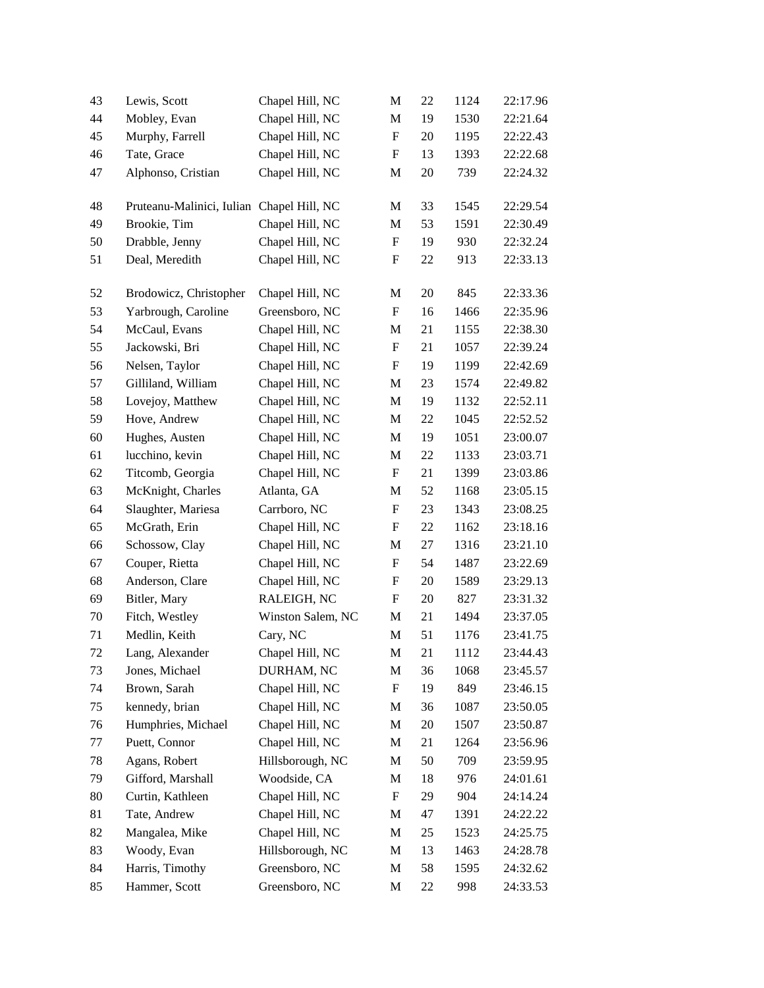| 43 | Lewis, Scott                              | Chapel Hill, NC   | M                         | 22     | 1124 | 22:17.96 |
|----|-------------------------------------------|-------------------|---------------------------|--------|------|----------|
| 44 | Mobley, Evan                              | Chapel Hill, NC   | M                         | 19     | 1530 | 22:21.64 |
| 45 | Murphy, Farrell                           | Chapel Hill, NC   | $\boldsymbol{\mathrm{F}}$ | 20     | 1195 | 22:22.43 |
| 46 | Tate, Grace                               | Chapel Hill, NC   | F                         | 13     | 1393 | 22:22.68 |
| 47 | Alphonso, Cristian                        | Chapel Hill, NC   | $\mathbf M$               | 20     | 739  | 22:24.32 |
| 48 | Pruteanu-Malinici, Iulian Chapel Hill, NC |                   | М                         | 33     | 1545 | 22:29.54 |
| 49 | Brookie, Tim                              | Chapel Hill, NC   | $\mathbf M$               | 53     | 1591 | 22:30.49 |
| 50 | Drabble, Jenny                            | Chapel Hill, NC   | $\boldsymbol{\mathrm{F}}$ | 19     | 930  | 22:32.24 |
| 51 | Deal, Meredith                            | Chapel Hill, NC   | $\boldsymbol{F}$          | 22     | 913  | 22:33.13 |
| 52 | Brodowicz, Christopher                    | Chapel Hill, NC   | M                         | 20     | 845  | 22:33.36 |
| 53 | Yarbrough, Caroline                       | Greensboro, NC    | ${\bf F}$                 | 16     | 1466 | 22:35.96 |
| 54 | McCaul, Evans                             | Chapel Hill, NC   | M                         | 21     | 1155 | 22:38.30 |
| 55 | Jackowski, Bri                            | Chapel Hill, NC   | $\boldsymbol{F}$          | 21     | 1057 | 22:39.24 |
| 56 | Nelsen, Taylor                            | Chapel Hill, NC   | F                         | 19     | 1199 | 22:42.69 |
| 57 | Gilliland, William                        | Chapel Hill, NC   | M                         | 23     | 1574 | 22:49.82 |
| 58 | Lovejoy, Matthew                          | Chapel Hill, NC   | M                         | 19     | 1132 | 22:52.11 |
| 59 | Hove, Andrew                              | Chapel Hill, NC   | $\mathbf M$               | 22     | 1045 | 22:52.52 |
| 60 | Hughes, Austen                            | Chapel Hill, NC   | M                         | 19     | 1051 | 23:00.07 |
| 61 | lucchino, kevin                           | Chapel Hill, NC   | M                         | 22     | 1133 | 23:03.71 |
| 62 | Titcomb, Georgia                          | Chapel Hill, NC   | $\boldsymbol{\mathrm{F}}$ | 21     | 1399 | 23:03.86 |
| 63 | McKnight, Charles                         | Atlanta, GA       | M                         | 52     | 1168 | 23:05.15 |
| 64 | Slaughter, Mariesa                        | Carrboro, NC      | $\boldsymbol{\mathrm{F}}$ | 23     | 1343 | 23:08.25 |
| 65 | McGrath, Erin                             | Chapel Hill, NC   | $\boldsymbol{\mathrm{F}}$ | $22\,$ | 1162 | 23:18.16 |
| 66 | Schossow, Clay                            | Chapel Hill, NC   | M                         | 27     | 1316 | 23:21.10 |
| 67 | Couper, Rietta                            | Chapel Hill, NC   | ${\bf F}$                 | 54     | 1487 | 23:22.69 |
| 68 | Anderson, Clare                           | Chapel Hill, NC   | F                         | 20     | 1589 | 23:29.13 |
| 69 | Bitler, Mary                              | RALEIGH, NC       | $\boldsymbol{\mathrm{F}}$ | 20     | 827  | 23:31.32 |
| 70 | Fitch, Westley                            | Winston Salem, NC | M                         | 21     | 1494 | 23:37.05 |
| 71 | Medlin, Keith                             | Cary, NC          | $\mathbf M$               | 51     | 1176 | 23:41.75 |
| 72 | Lang, Alexander                           | Chapel Hill, NC   | M                         | 21     | 1112 | 23:44.43 |
| 73 | Jones, Michael                            | DURHAM, NC        | M                         | 36     | 1068 | 23:45.57 |
| 74 | Brown, Sarah                              | Chapel Hill, NC   | $\boldsymbol{\mathrm{F}}$ | 19     | 849  | 23:46.15 |
| 75 | kennedy, brian                            | Chapel Hill, NC   | M                         | 36     | 1087 | 23:50.05 |
| 76 | Humphries, Michael                        | Chapel Hill, NC   | M                         | 20     | 1507 | 23:50.87 |
| 77 | Puett, Connor                             | Chapel Hill, NC   | M                         | 21     | 1264 | 23:56.96 |
| 78 | Agans, Robert                             | Hillsborough, NC  | M                         | 50     | 709  | 23:59.95 |
| 79 | Gifford, Marshall                         | Woodside, CA      | $\mathbf M$               | 18     | 976  | 24:01.61 |
| 80 | Curtin, Kathleen                          | Chapel Hill, NC   | $\boldsymbol{F}$          | 29     | 904  | 24:14.24 |
| 81 | Tate, Andrew                              | Chapel Hill, NC   | M                         | 47     | 1391 | 24:22.22 |
| 82 | Mangalea, Mike                            | Chapel Hill, NC   | M                         | 25     | 1523 | 24:25.75 |
| 83 | Woody, Evan                               | Hillsborough, NC  | M                         | 13     | 1463 | 24:28.78 |
| 84 | Harris, Timothy                           | Greensboro, NC    | $\mathbf M$               | 58     | 1595 | 24:32.62 |
| 85 | Hammer, Scott                             | Greensboro, NC    | M                         | 22     | 998  | 24:33.53 |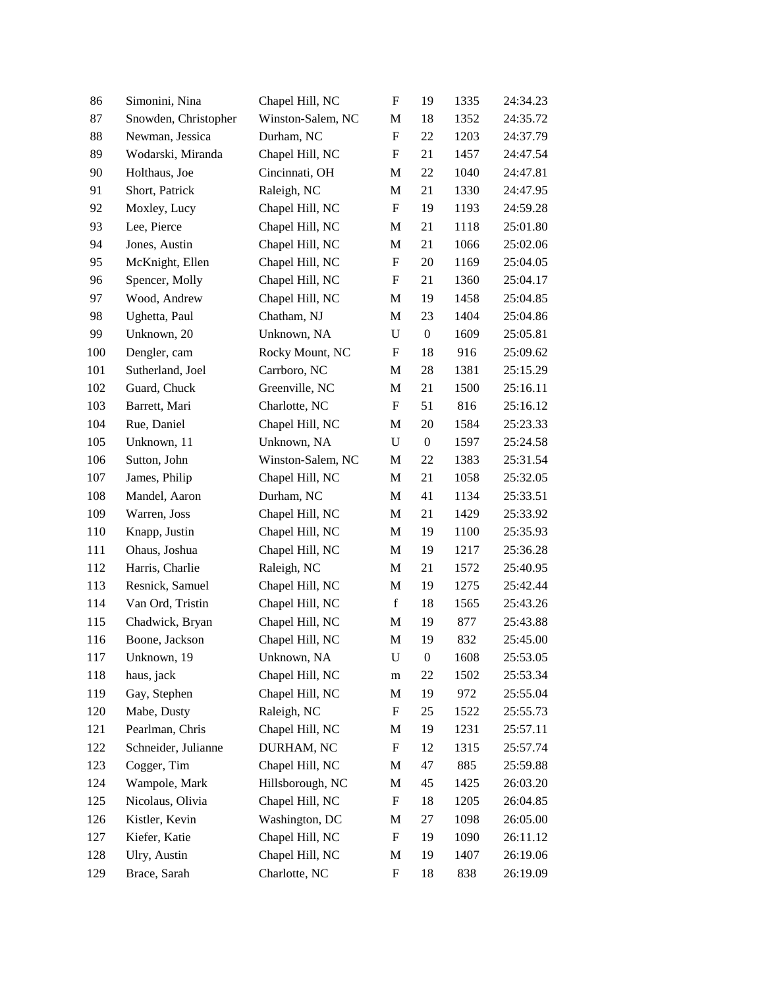| 86  | Simonini, Nina       | Chapel Hill, NC   | $\boldsymbol{\mathrm{F}}$ | 19               | 1335 | 24:34.23 |
|-----|----------------------|-------------------|---------------------------|------------------|------|----------|
| 87  | Snowden, Christopher | Winston-Salem, NC | M                         | 18               | 1352 | 24:35.72 |
| 88  | Newman, Jessica      | Durham, NC        | $\boldsymbol{\mathrm{F}}$ | 22               | 1203 | 24:37.79 |
| 89  | Wodarski, Miranda    | Chapel Hill, NC   | F                         | 21               | 1457 | 24:47.54 |
| 90  | Holthaus, Joe        | Cincinnati, OH    | M                         | 22               | 1040 | 24:47.81 |
| 91  | Short, Patrick       | Raleigh, NC       | M                         | 21               | 1330 | 24:47.95 |
| 92  | Moxley, Lucy         | Chapel Hill, NC   | $\boldsymbol{\mathrm{F}}$ | 19               | 1193 | 24:59.28 |
| 93  | Lee, Pierce          | Chapel Hill, NC   | M                         | 21               | 1118 | 25:01.80 |
| 94  | Jones, Austin        | Chapel Hill, NC   | M                         | 21               | 1066 | 25:02.06 |
| 95  | McKnight, Ellen      | Chapel Hill, NC   | $\boldsymbol{F}$          | 20               | 1169 | 25:04.05 |
| 96  | Spencer, Molly       | Chapel Hill, NC   | $\boldsymbol{\mathrm{F}}$ | 21               | 1360 | 25:04.17 |
| 97  | Wood, Andrew         | Chapel Hill, NC   | M                         | 19               | 1458 | 25:04.85 |
| 98  | Ughetta, Paul        | Chatham, NJ       | M                         | 23               | 1404 | 25:04.86 |
| 99  | Unknown, 20          | Unknown, NA       | U                         | $\boldsymbol{0}$ | 1609 | 25:05.81 |
| 100 | Dengler, cam         | Rocky Mount, NC   | $\mathbf F$               | 18               | 916  | 25:09.62 |
| 101 | Sutherland, Joel     | Carrboro, NC      | M                         | 28               | 1381 | 25:15.29 |
| 102 | Guard, Chuck         | Greenville, NC    | M                         | 21               | 1500 | 25:16.11 |
| 103 | Barrett, Mari        | Charlotte, NC     | $\boldsymbol{\mathrm{F}}$ | 51               | 816  | 25:16.12 |
| 104 | Rue, Daniel          | Chapel Hill, NC   | M                         | 20               | 1584 | 25:23.33 |
| 105 | Unknown, 11          | Unknown, NA       | $\mathbf U$               | $\boldsymbol{0}$ | 1597 | 25:24.58 |
| 106 | Sutton, John         | Winston-Salem, NC | M                         | 22               | 1383 | 25:31.54 |
| 107 | James, Philip        | Chapel Hill, NC   | M                         | 21               | 1058 | 25:32.05 |
| 108 | Mandel, Aaron        | Durham, NC        | M                         | 41               | 1134 | 25:33.51 |
| 109 | Warren, Joss         | Chapel Hill, NC   | M                         | 21               | 1429 | 25:33.92 |
| 110 | Knapp, Justin        | Chapel Hill, NC   | M                         | 19               | 1100 | 25:35.93 |
| 111 | Ohaus, Joshua        | Chapel Hill, NC   | M                         | 19               | 1217 | 25:36.28 |
| 112 | Harris, Charlie      | Raleigh, NC       | M                         | 21               | 1572 | 25:40.95 |
| 113 | Resnick, Samuel      | Chapel Hill, NC   | M                         | 19               | 1275 | 25:42.44 |
| 114 | Van Ord, Tristin     | Chapel Hill, NC   | $\mathbf f$               | 18               | 1565 | 25:43.26 |
| 115 | Chadwick, Bryan      | Chapel Hill, NC   | M                         | 19               | 877  | 25:43.88 |
| 116 | Boone, Jackson       | Chapel Hill, NC   | M                         | 19               | 832  | 25:45.00 |
| 117 | Unknown, 19          | Unknown, NA       | U                         | $\boldsymbol{0}$ | 1608 | 25:53.05 |
| 118 | haus, jack           | Chapel Hill, NC   | m                         | 22               | 1502 | 25:53.34 |
| 119 | Gay, Stephen         | Chapel Hill, NC   | M                         | 19               | 972  | 25:55.04 |
| 120 | Mabe, Dusty          | Raleigh, NC       | F                         | 25               | 1522 | 25:55.73 |
| 121 | Pearlman, Chris      | Chapel Hill, NC   | M                         | 19               | 1231 | 25:57.11 |
| 122 | Schneider, Julianne  | DURHAM, NC        | $\boldsymbol{F}$          | 12               | 1315 | 25:57.74 |
| 123 | Cogger, Tim          | Chapel Hill, NC   | M                         | 47               | 885  | 25:59.88 |
| 124 | Wampole, Mark        | Hillsborough, NC  | M                         | 45               | 1425 | 26:03.20 |
| 125 | Nicolaus, Olivia     | Chapel Hill, NC   | $\mathbf F$               | 18               | 1205 | 26:04.85 |
| 126 | Kistler, Kevin       | Washington, DC    | M                         | 27               | 1098 | 26:05.00 |
| 127 | Kiefer, Katie        | Chapel Hill, NC   | $\boldsymbol{F}$          | 19               | 1090 | 26:11.12 |
| 128 | Ulry, Austin         | Chapel Hill, NC   | M                         | 19               | 1407 | 26:19.06 |
| 129 | Brace, Sarah         | Charlotte, NC     | F                         | 18               | 838  | 26:19.09 |
|     |                      |                   |                           |                  |      |          |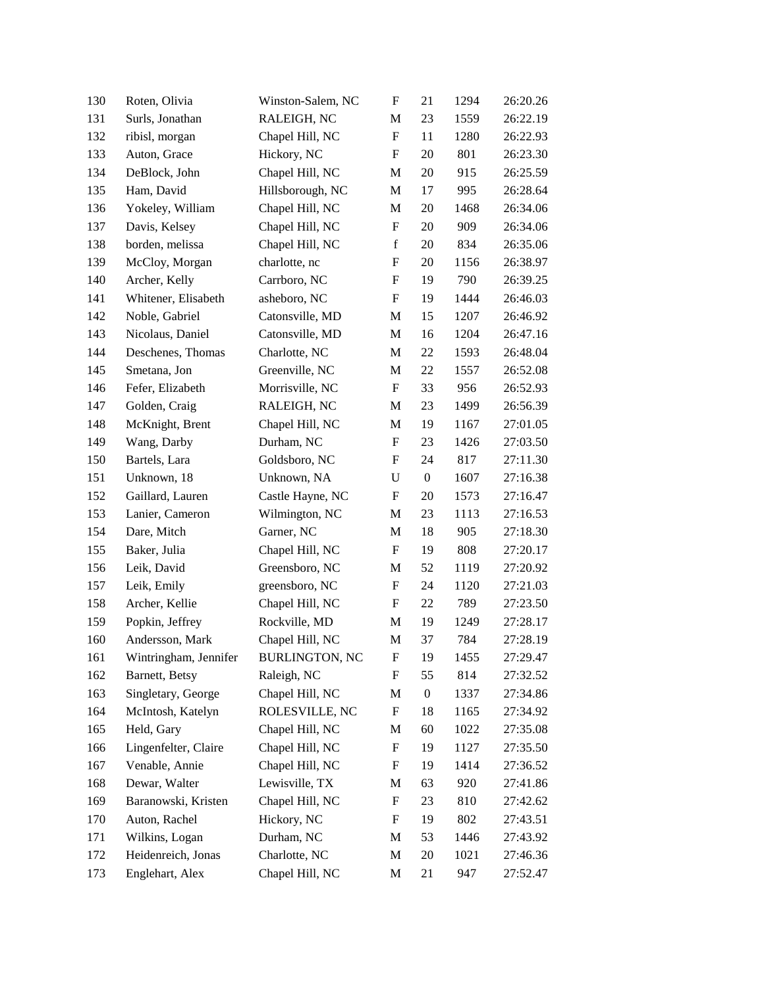| 130 | Roten, Olivia         | Winston-Salem, NC     | $\boldsymbol{\mathrm{F}}$ | 21               | 1294 | 26:20.26 |
|-----|-----------------------|-----------------------|---------------------------|------------------|------|----------|
| 131 | Surls, Jonathan       | RALEIGH, NC           | M                         | 23               | 1559 | 26:22.19 |
| 132 | ribisl, morgan        | Chapel Hill, NC       | $\boldsymbol{\mathrm{F}}$ | 11               | 1280 | 26:22.93 |
| 133 | Auton, Grace          | Hickory, NC           | $\boldsymbol{F}$          | 20               | 801  | 26:23.30 |
| 134 | DeBlock, John         | Chapel Hill, NC       | M                         | 20               | 915  | 26:25.59 |
| 135 | Ham, David            | Hillsborough, NC      | M                         | 17               | 995  | 26:28.64 |
| 136 | Yokeley, William      | Chapel Hill, NC       | M                         | 20               | 1468 | 26:34.06 |
| 137 | Davis, Kelsey         | Chapel Hill, NC       | $\boldsymbol{\mathrm{F}}$ | 20               | 909  | 26:34.06 |
| 138 | borden, melissa       | Chapel Hill, NC       | $\mathbf f$               | 20               | 834  | 26:35.06 |
| 139 | McCloy, Morgan        | charlotte, nc         | $\boldsymbol{F}$          | 20               | 1156 | 26:38.97 |
| 140 | Archer, Kelly         | Carrboro, NC          | $\boldsymbol{\mathrm{F}}$ | 19               | 790  | 26:39.25 |
| 141 | Whitener, Elisabeth   | asheboro, NC          | F                         | 19               | 1444 | 26:46.03 |
| 142 | Noble, Gabriel        | Catonsville, MD       | M                         | 15               | 1207 | 26:46.92 |
| 143 | Nicolaus, Daniel      | Catonsville, MD       | M                         | 16               | 1204 | 26:47.16 |
| 144 | Deschenes, Thomas     | Charlotte, NC         | M                         | 22               | 1593 | 26:48.04 |
| 145 | Smetana, Jon          | Greenville, NC        | M                         | 22               | 1557 | 26:52.08 |
| 146 | Fefer, Elizabeth      | Morrisville, NC       | F                         | 33               | 956  | 26:52.93 |
| 147 | Golden, Craig         | RALEIGH, NC           | M                         | 23               | 1499 | 26:56.39 |
| 148 | McKnight, Brent       | Chapel Hill, NC       | M                         | 19               | 1167 | 27:01.05 |
| 149 | Wang, Darby           | Durham, NC            | $\boldsymbol{F}$          | 23               | 1426 | 27:03.50 |
| 150 | Bartels, Lara         | Goldsboro, NC         | $\boldsymbol{F}$          | 24               | 817  | 27:11.30 |
| 151 | Unknown, 18           | Unknown, NA           | $\mathbf U$               | $\boldsymbol{0}$ | 1607 | 27:16.38 |
| 152 | Gaillard, Lauren      | Castle Hayne, NC      | $\boldsymbol{\mathrm{F}}$ | 20               | 1573 | 27:16.47 |
| 153 | Lanier, Cameron       | Wilmington, NC        | M                         | 23               | 1113 | 27:16.53 |
| 154 | Dare, Mitch           | Garner, NC            | M                         | 18               | 905  | 27:18.30 |
| 155 | Baker, Julia          | Chapel Hill, NC       | $\boldsymbol{\mathrm{F}}$ | 19               | 808  | 27:20.17 |
| 156 | Leik, David           | Greensboro, NC        | M                         | 52               | 1119 | 27:20.92 |
| 157 | Leik, Emily           | greensboro, NC        | $\boldsymbol{\mathrm{F}}$ | 24               | 1120 | 27:21.03 |
| 158 | Archer, Kellie        | Chapel Hill, NC       | $\boldsymbol{F}$          | 22               | 789  | 27:23.50 |
| 159 | Popkin, Jeffrey       | Rockville, MD         | M                         | 19               | 1249 | 27:28.17 |
| 160 | Andersson, Mark       | Chapel Hill, NC       | M                         | 37               | 784  | 27:28.19 |
| 161 | Wintringham, Jennifer | <b>BURLINGTON, NC</b> | F                         | 19               | 1455 | 27:29.47 |
| 162 | Barnett, Betsy        | Raleigh, NC           | $\boldsymbol{\mathrm{F}}$ | 55               | 814  | 27:32.52 |
| 163 | Singletary, George    | Chapel Hill, NC       | M                         | $\boldsymbol{0}$ | 1337 | 27:34.86 |
| 164 | McIntosh, Katelyn     | ROLESVILLE, NC        | ${\rm F}$                 | 18               | 1165 | 27:34.92 |
| 165 | Held, Gary            | Chapel Hill, NC       | M                         | 60               | 1022 | 27:35.08 |
| 166 | Lingenfelter, Claire  | Chapel Hill, NC       | $\boldsymbol{F}$          | 19               | 1127 | 27:35.50 |
| 167 | Venable, Annie        | Chapel Hill, NC       | $\boldsymbol{\mathrm{F}}$ | 19               | 1414 | 27:36.52 |
| 168 | Dewar, Walter         | Lewisville, TX        | M                         | 63               | 920  | 27:41.86 |
| 169 | Baranowski, Kristen   | Chapel Hill, NC       | ${\rm F}$                 | 23               | 810  | 27:42.62 |
| 170 | Auton, Rachel         | Hickory, NC           | $\boldsymbol{F}$          | 19               | 802  | 27:43.51 |
| 171 | Wilkins, Logan        | Durham, NC            | M                         | 53               | 1446 | 27:43.92 |
| 172 | Heidenreich, Jonas    | Charlotte, NC         | M                         | 20               | 1021 | 27:46.36 |
| 173 | Englehart, Alex       | Chapel Hill, NC       | M                         | 21               | 947  | 27:52.47 |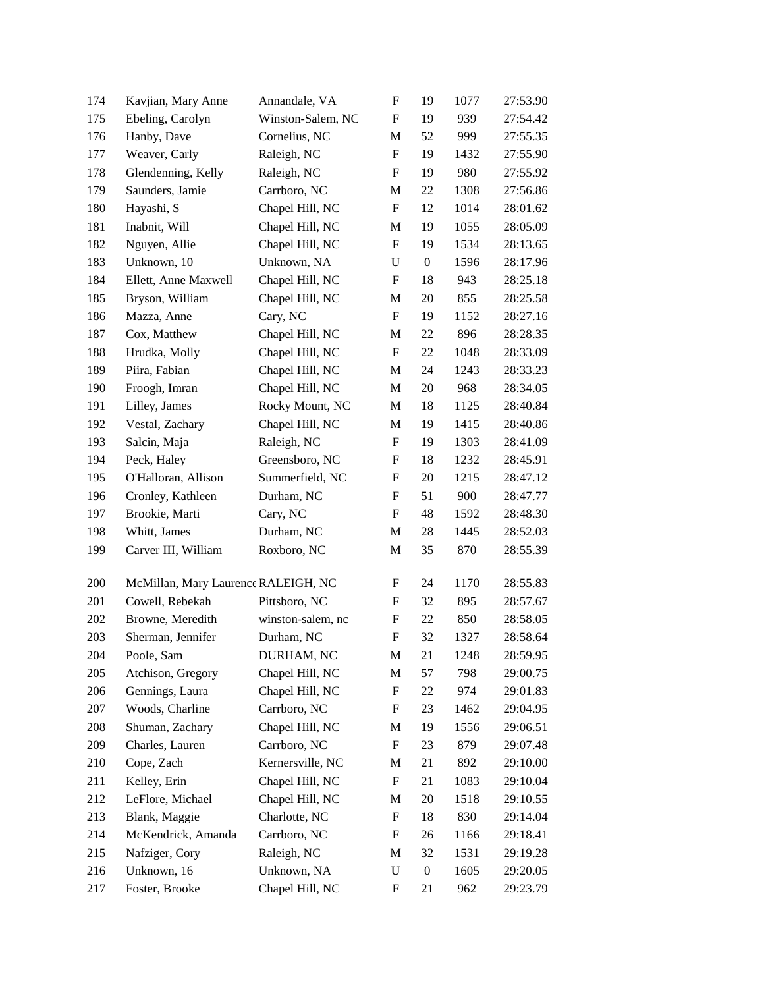| 174 | Kavjian, Mary Anne                  | Annandale, VA     | ${\bf F}$                 | 19               | 1077 | 27:53.90 |
|-----|-------------------------------------|-------------------|---------------------------|------------------|------|----------|
| 175 | Ebeling, Carolyn                    | Winston-Salem, NC | F                         | 19               | 939  | 27:54.42 |
| 176 | Hanby, Dave                         | Cornelius, NC     | M                         | 52               | 999  | 27:55.35 |
| 177 | Weaver, Carly                       | Raleigh, NC       | F                         | 19               | 1432 | 27:55.90 |
| 178 | Glendenning, Kelly                  | Raleigh, NC       | F                         | 19               | 980  | 27:55.92 |
| 179 | Saunders, Jamie                     | Carrboro, NC      | M                         | 22               | 1308 | 27:56.86 |
| 180 | Hayashi, S                          | Chapel Hill, NC   | F                         | 12               | 1014 | 28:01.62 |
| 181 | Inabnit, Will                       | Chapel Hill, NC   | M                         | 19               | 1055 | 28:05.09 |
| 182 | Nguyen, Allie                       | Chapel Hill, NC   | F                         | 19               | 1534 | 28:13.65 |
| 183 | Unknown, 10                         | Unknown, NA       | $\mathbf U$               | $\boldsymbol{0}$ | 1596 | 28:17.96 |
| 184 | Ellett, Anne Maxwell                | Chapel Hill, NC   | $\boldsymbol{\mathrm{F}}$ | 18               | 943  | 28:25.18 |
| 185 | Bryson, William                     | Chapel Hill, NC   | M                         | 20               | 855  | 28:25.58 |
| 186 | Mazza, Anne                         | Cary, NC          | $\boldsymbol{\mathrm{F}}$ | 19               | 1152 | 28:27.16 |
| 187 | Cox, Matthew                        | Chapel Hill, NC   | M                         | 22               | 896  | 28:28.35 |
| 188 | Hrudka, Molly                       | Chapel Hill, NC   | $\boldsymbol{F}$          | 22               | 1048 | 28:33.09 |
| 189 | Piira, Fabian                       | Chapel Hill, NC   | M                         | 24               | 1243 | 28:33.23 |
| 190 | Froogh, Imran                       | Chapel Hill, NC   | M                         | 20               | 968  | 28:34.05 |
| 191 | Lilley, James                       | Rocky Mount, NC   | M                         | 18               | 1125 | 28:40.84 |
| 192 | Vestal, Zachary                     | Chapel Hill, NC   | M                         | 19               | 1415 | 28:40.86 |
| 193 | Salcin, Maja                        | Raleigh, NC       | F                         | 19               | 1303 | 28:41.09 |
| 194 | Peck, Haley                         | Greensboro, NC    | F                         | 18               | 1232 | 28:45.91 |
| 195 | O'Halloran, Allison                 | Summerfield, NC   | F                         | 20               | 1215 | 28:47.12 |
| 196 | Cronley, Kathleen                   | Durham, NC        | F                         | 51               | 900  | 28:47.77 |
| 197 | Brookie, Marti                      | Cary, NC          | F                         | 48               | 1592 | 28:48.30 |
| 198 | Whitt, James                        | Durham, NC        | M                         | 28               | 1445 | 28:52.03 |
| 199 | Carver III, William                 | Roxboro, NC       | M                         | 35               | 870  | 28:55.39 |
| 200 | McMillan, Mary Laurence RALEIGH, NC |                   | F                         | 24               | 1170 | 28:55.83 |
| 201 | Cowell, Rebekah                     | Pittsboro, NC     | F                         | 32               | 895  | 28:57.67 |
| 202 | Browne, Meredith                    | winston-salem, nc | F                         | 22               | 850  | 28:58.05 |
| 203 | Sherman, Jennifer                   | Durham, NC        | ${\bf F}$                 | 32               | 1327 | 28:58.64 |
| 204 | Poole, Sam                          | DURHAM, NC        | M                         | 21               | 1248 | 28:59.95 |
| 205 | Atchison, Gregory                   | Chapel Hill, NC   | M                         | 57               | 798  | 29:00.75 |
| 206 | Gennings, Laura                     | Chapel Hill, NC   | F                         | 22               | 974  | 29:01.83 |
| 207 | Woods, Charline                     | Carrboro, NC      | F                         | 23               | 1462 | 29:04.95 |
| 208 | Shuman, Zachary                     | Chapel Hill, NC   | M                         | 19               | 1556 | 29:06.51 |
| 209 | Charles, Lauren                     | Carrboro, NC      | $\boldsymbol{F}$          | 23               | 879  | 29:07.48 |
| 210 | Cope, Zach                          | Kernersville, NC  | M                         | 21               | 892  | 29:10.00 |
| 211 | Kelley, Erin                        | Chapel Hill, NC   | F                         | 21               | 1083 | 29:10.04 |
| 212 | LeFlore, Michael                    | Chapel Hill, NC   | M                         | 20               | 1518 | 29:10.55 |
| 213 | Blank, Maggie                       | Charlotte, NC     | F                         | 18               | 830  | 29:14.04 |
| 214 | McKendrick, Amanda                  | Carrboro, NC      | F                         | 26               | 1166 | 29:18.41 |
| 215 | Nafziger, Cory                      | Raleigh, NC       | M                         | 32               | 1531 | 29:19.28 |
| 216 | Unknown, 16                         | Unknown, NA       | $\mathbf U$               | $\boldsymbol{0}$ | 1605 | 29:20.05 |
| 217 | Foster, Brooke                      | Chapel Hill, NC   | F                         | 21               | 962  | 29:23.79 |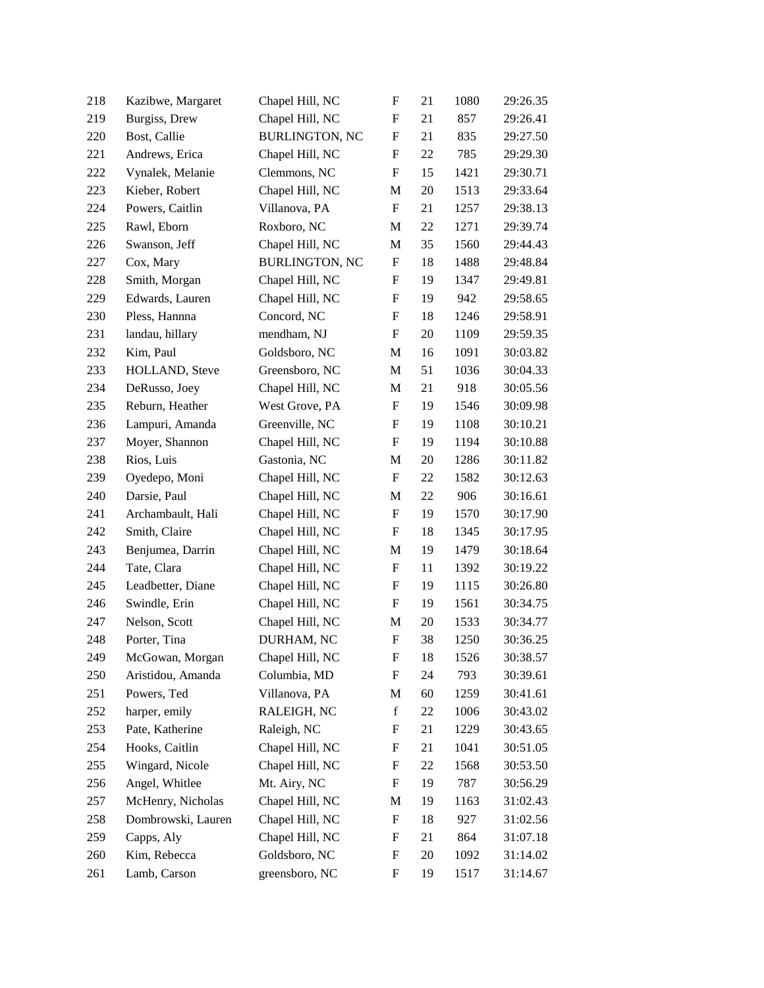| 218 | Kazibwe, Margaret  | Chapel Hill, NC       | $\boldsymbol{\mathrm{F}}$ | 21     | 1080 | 29:26.35 |
|-----|--------------------|-----------------------|---------------------------|--------|------|----------|
| 219 | Burgiss, Drew      | Chapel Hill, NC       | F                         | 21     | 857  | 29:26.41 |
| 220 | Bost, Callie       | <b>BURLINGTON, NC</b> | ${\bf F}$                 | 21     | 835  | 29:27.50 |
| 221 | Andrews, Erica     | Chapel Hill, NC       | F                         | 22     | 785  | 29:29.30 |
| 222 | Vynalek, Melanie   | Clemmons, NC          | F                         | 15     | 1421 | 29:30.71 |
| 223 | Kieber, Robert     | Chapel Hill, NC       | M                         | $20\,$ | 1513 | 29:33.64 |
| 224 | Powers, Caitlin    | Villanova, PA         | F                         | 21     | 1257 | 29:38.13 |
| 225 | Rawl, Eborn        | Roxboro, NC           | M                         | 22     | 1271 | 29:39.74 |
| 226 | Swanson, Jeff      | Chapel Hill, NC       | M                         | 35     | 1560 | 29:44.43 |
| 227 | Cox, Mary          | <b>BURLINGTON, NC</b> | $\boldsymbol{F}$          | 18     | 1488 | 29:48.84 |
| 228 | Smith, Morgan      | Chapel Hill, NC       | ${\bf F}$                 | 19     | 1347 | 29:49.81 |
| 229 | Edwards, Lauren    | Chapel Hill, NC       | F                         | 19     | 942  | 29:58.65 |
| 230 | Pless, Hannna      | Concord, NC           | $\boldsymbol{\mathrm{F}}$ | 18     | 1246 | 29:58.91 |
| 231 | landau, hillary    | mendham, NJ           | $\mathbf F$               | 20     | 1109 | 29:59.35 |
| 232 | Kim, Paul          | Goldsboro, NC         | M                         | 16     | 1091 | 30:03.82 |
| 233 | HOLLAND, Steve     | Greensboro, NC        | M                         | 51     | 1036 | 30:04.33 |
| 234 | DeRusso, Joey      | Chapel Hill, NC       | M                         | 21     | 918  | 30:05.56 |
| 235 | Reburn, Heather    | West Grove, PA        | $\boldsymbol{\mathrm{F}}$ | 19     | 1546 | 30:09.98 |
| 236 | Lampuri, Amanda    | Greenville, NC        | $\mathbf F$               | 19     | 1108 | 30:10.21 |
| 237 | Moyer, Shannon     | Chapel Hill, NC       | $\mathbf F$               | 19     | 1194 | 30:10.88 |
| 238 | Rios, Luis         | Gastonia, NC          | M                         | 20     | 1286 | 30:11.82 |
| 239 | Oyedepo, Moni      | Chapel Hill, NC       | F                         | 22     | 1582 | 30:12.63 |
| 240 | Darsie, Paul       | Chapel Hill, NC       | M                         | 22     | 906  | 30:16.61 |
| 241 | Archambault, Hali  | Chapel Hill, NC       | $\mathbf F$               | 19     | 1570 | 30:17.90 |
| 242 | Smith, Claire      | Chapel Hill, NC       | $\mathbf F$               | 18     | 1345 | 30:17.95 |
| 243 | Benjumea, Darrin   | Chapel Hill, NC       | M                         | 19     | 1479 | 30:18.64 |
| 244 | Tate, Clara        | Chapel Hill, NC       | F                         | 11     | 1392 | 30:19.22 |
| 245 | Leadbetter, Diane  | Chapel Hill, NC       | F                         | 19     | 1115 | 30:26.80 |
| 246 | Swindle, Erin      | Chapel Hill, NC       | $\mathbf F$               | 19     | 1561 | 30:34.75 |
| 247 | Nelson, Scott      | Chapel Hill, NC       | M                         | 20     | 1533 | 30:34.77 |
| 248 | Porter, Tina       | DURHAM, NC            | $\boldsymbol{\mathrm{F}}$ | 38     | 1250 | 30:36.25 |
| 249 | McGowan, Morgan    | Chapel Hill, NC       | F                         | 18     | 1526 | 30:38.57 |
| 250 | Aristidou, Amanda  | Columbia, MD          | F                         | 24     | 793  | 30:39.61 |
| 251 | Powers, Ted        | Villanova, PA         | M                         | 60     | 1259 | 30:41.61 |
| 252 | harper, emily      | RALEIGH, NC           | $\mathbf f$               | 22     | 1006 | 30:43.02 |
| 253 | Pate, Katherine    | Raleigh, NC           | F                         | 21     | 1229 | 30:43.65 |
| 254 | Hooks, Caitlin     | Chapel Hill, NC       | F                         | 21     | 1041 | 30:51.05 |
| 255 | Wingard, Nicole    | Chapel Hill, NC       | $\mathbf F$               | 22     | 1568 | 30:53.50 |
| 256 | Angel, Whitlee     | Mt. Airy, NC          | $\boldsymbol{F}$          | 19     | 787  | 30:56.29 |
| 257 | McHenry, Nicholas  | Chapel Hill, NC       | М                         | 19     | 1163 | 31:02.43 |
| 258 | Dombrowski, Lauren | Chapel Hill, NC       | $\boldsymbol{\mathrm{F}}$ | 18     | 927  | 31:02.56 |
| 259 | Capps, Aly         | Chapel Hill, NC       | F                         | 21     | 864  | 31:07.18 |
| 260 | Kim, Rebecca       | Goldsboro, NC         | F                         | 20     | 1092 | 31:14.02 |
| 261 | Lamb, Carson       | greensboro, NC        | F                         | 19     | 1517 | 31:14.67 |
|     |                    |                       |                           |        |      |          |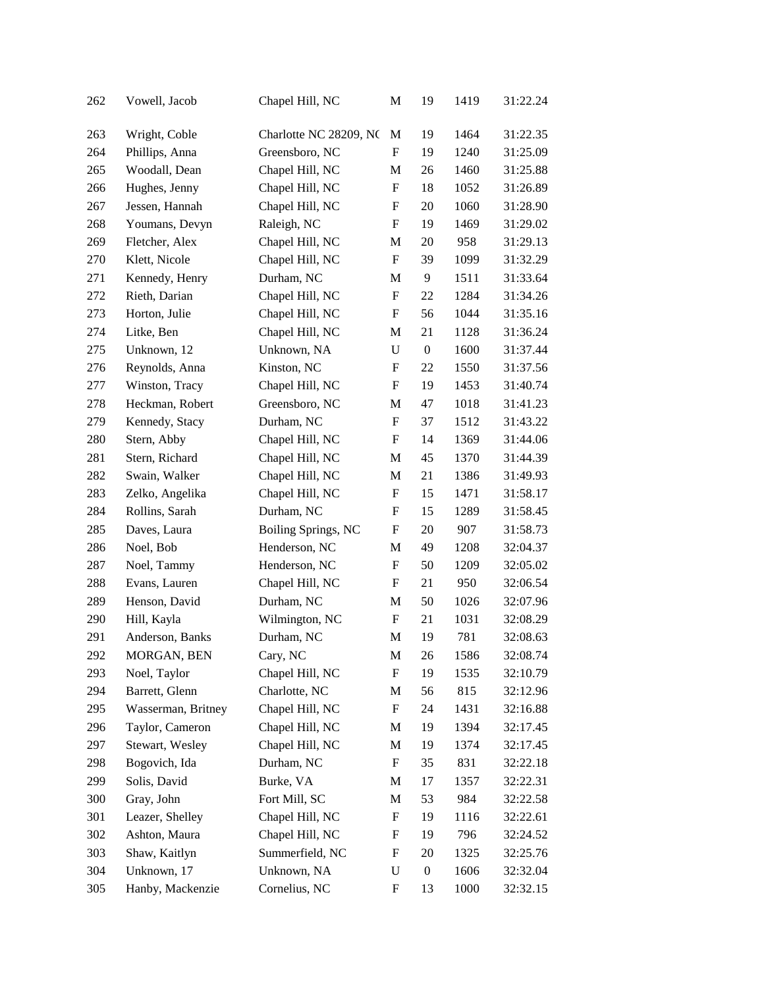| 262 | Vowell, Jacob      | Chapel Hill, NC        | M                         | 19               | 1419 | 31:22.24 |
|-----|--------------------|------------------------|---------------------------|------------------|------|----------|
| 263 | Wright, Coble      | Charlotte NC 28209, NC | M                         | 19               | 1464 | 31:22.35 |
| 264 | Phillips, Anna     | Greensboro, NC         | $\boldsymbol{\mathrm{F}}$ | 19               | 1240 | 31:25.09 |
| 265 | Woodall, Dean      | Chapel Hill, NC        | M                         | 26               | 1460 | 31:25.88 |
| 266 | Hughes, Jenny      | Chapel Hill, NC        | F                         | 18               | 1052 | 31:26.89 |
| 267 | Jessen, Hannah     | Chapel Hill, NC        | F                         | $20\,$           | 1060 | 31:28.90 |
| 268 | Youmans, Devyn     | Raleigh, NC            | F                         | 19               | 1469 | 31:29.02 |
| 269 | Fletcher, Alex     | Chapel Hill, NC        | M                         | 20               | 958  | 31:29.13 |
| 270 | Klett, Nicole      | Chapel Hill, NC        | F                         | 39               | 1099 | 31:32.29 |
| 271 | Kennedy, Henry     | Durham, NC             | M                         | 9                | 1511 | 31:33.64 |
| 272 | Rieth, Darian      | Chapel Hill, NC        | F                         | 22               | 1284 | 31:34.26 |
| 273 | Horton, Julie      | Chapel Hill, NC        | F                         | 56               | 1044 | 31:35.16 |
| 274 | Litke, Ben         | Chapel Hill, NC        | M                         | 21               | 1128 | 31:36.24 |
| 275 | Unknown, 12        | Unknown, NA            | $\mathbf U$               | $\boldsymbol{0}$ | 1600 | 31:37.44 |
| 276 | Reynolds, Anna     | Kinston, NC            | F                         | 22               | 1550 | 31:37.56 |
| 277 | Winston, Tracy     | Chapel Hill, NC        | F                         | 19               | 1453 | 31:40.74 |
| 278 | Heckman, Robert    | Greensboro, NC         | M                         | 47               | 1018 | 31:41.23 |
| 279 | Kennedy, Stacy     | Durham, NC             | ${\bf F}$                 | 37               | 1512 | 31:43.22 |
| 280 | Stern, Abby        | Chapel Hill, NC        | F                         | 14               | 1369 | 31:44.06 |
| 281 | Stern, Richard     | Chapel Hill, NC        | M                         | 45               | 1370 | 31:44.39 |
| 282 | Swain, Walker      | Chapel Hill, NC        | M                         | 21               | 1386 | 31:49.93 |
| 283 | Zelko, Angelika    | Chapel Hill, NC        | F                         | 15               | 1471 | 31:58.17 |
| 284 | Rollins, Sarah     | Durham, NC             | F                         | 15               | 1289 | 31:58.45 |
| 285 | Daves, Laura       | Boiling Springs, NC    | F                         | 20               | 907  | 31:58.73 |
| 286 | Noel, Bob          | Henderson, NC          | M                         | 49               | 1208 | 32:04.37 |
| 287 | Noel, Tammy        | Henderson, NC          | F                         | 50               | 1209 | 32:05.02 |
| 288 | Evans, Lauren      | Chapel Hill, NC        | F                         | 21               | 950  | 32:06.54 |
| 289 | Henson, David      | Durham, NC             | M                         | 50               | 1026 | 32:07.96 |
| 290 | Hill, Kayla        | Wilmington, NC         | F                         | 21               | 1031 | 32:08.29 |
| 291 | Anderson, Banks    | Durham, NC             | $\mathbf M$               | 19               | 781  | 32:08.63 |
| 292 | MORGAN, BEN        | Cary, NC               | M                         | 26               | 1586 | 32:08.74 |
| 293 | Noel, Taylor       | Chapel Hill, NC        | F                         | 19               | 1535 | 32:10.79 |
| 294 | Barrett, Glenn     | Charlotte, NC          | M                         | 56               | 815  | 32:12.96 |
| 295 | Wasserman, Britney | Chapel Hill, NC        | ${\rm F}$                 | 24               | 1431 | 32:16.88 |
| 296 | Taylor, Cameron    | Chapel Hill, NC        | M                         | 19               | 1394 | 32:17.45 |
| 297 | Stewart, Wesley    | Chapel Hill, NC        | M                         | 19               | 1374 | 32:17.45 |
| 298 | Bogovich, Ida      | Durham, NC             | ${\rm F}$                 | 35               | 831  | 32:22.18 |
| 299 | Solis, David       | Burke, VA              | M                         | 17               | 1357 | 32:22.31 |
| 300 | Gray, John         | Fort Mill, SC          | M                         | 53               | 984  | 32:22.58 |
| 301 | Leazer, Shelley    | Chapel Hill, NC        | ${\rm F}$                 | 19               | 1116 | 32:22.61 |
| 302 | Ashton, Maura      | Chapel Hill, NC        | $\boldsymbol{\mathrm{F}}$ | 19               | 796  | 32:24.52 |
| 303 | Shaw, Kaitlyn      | Summerfield, NC        | $\boldsymbol{F}$          | 20               | 1325 | 32:25.76 |
| 304 | Unknown, 17        | Unknown, NA            | $\mathbf U$               | $\boldsymbol{0}$ | 1606 | 32:32.04 |
| 305 | Hanby, Mackenzie   | Cornelius, NC          | F                         | 13               | 1000 | 32:32.15 |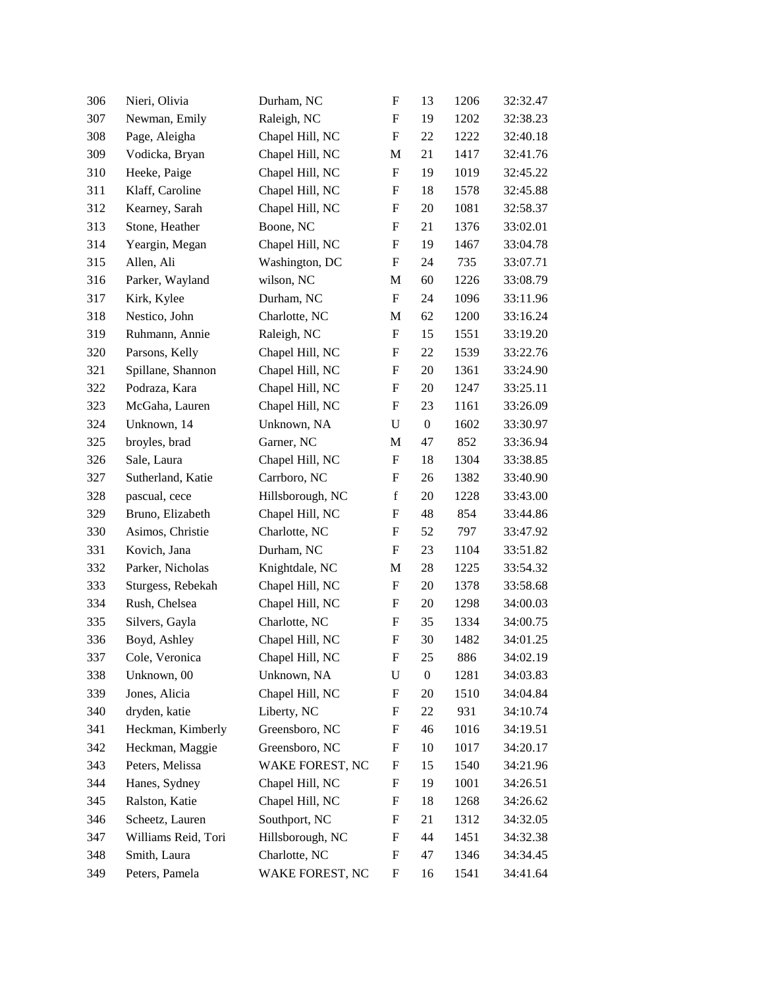| 306 | Nieri, Olivia       | Durham, NC       | F                         | 13               | 1206 | 32:32.47 |
|-----|---------------------|------------------|---------------------------|------------------|------|----------|
| 307 | Newman, Emily       | Raleigh, NC      | F                         | 19               | 1202 | 32:38.23 |
| 308 | Page, Aleigha       | Chapel Hill, NC  | F                         | 22               | 1222 | 32:40.18 |
| 309 | Vodicka, Bryan      | Chapel Hill, NC  | M                         | 21               | 1417 | 32:41.76 |
| 310 | Heeke, Paige        | Chapel Hill, NC  | F                         | 19               | 1019 | 32:45.22 |
| 311 | Klaff, Caroline     | Chapel Hill, NC  | ${\bf F}$                 | 18               | 1578 | 32:45.88 |
| 312 | Kearney, Sarah      | Chapel Hill, NC  | F                         | 20               | 1081 | 32:58.37 |
| 313 | Stone, Heather      | Boone, NC        | F                         | 21               | 1376 | 33:02.01 |
| 314 | Yeargin, Megan      | Chapel Hill, NC  | $\boldsymbol{\mathrm{F}}$ | 19               | 1467 | 33:04.78 |
| 315 | Allen, Ali          | Washington, DC   | F                         | 24               | 735  | 33:07.71 |
| 316 | Parker, Wayland     | wilson, NC       | M                         | 60               | 1226 | 33:08.79 |
| 317 | Kirk, Kylee         | Durham, NC       | F                         | 24               | 1096 | 33:11.96 |
| 318 | Nestico, John       | Charlotte, NC    | M                         | 62               | 1200 | 33:16.24 |
| 319 | Ruhmann, Annie      | Raleigh, NC      | $\boldsymbol{\mathrm{F}}$ | 15               | 1551 | 33:19.20 |
| 320 | Parsons, Kelly      | Chapel Hill, NC  | F                         | 22               | 1539 | 33:22.76 |
| 321 | Spillane, Shannon   | Chapel Hill, NC  | ${\bf F}$                 | 20               | 1361 | 33:24.90 |
| 322 | Podraza, Kara       | Chapel Hill, NC  | F                         | 20               | 1247 | 33:25.11 |
| 323 | McGaha, Lauren      | Chapel Hill, NC  | F                         | 23               | 1161 | 33:26.09 |
| 324 | Unknown, 14         | Unknown, NA      | U                         | $\boldsymbol{0}$ | 1602 | 33:30.97 |
| 325 | broyles, brad       | Garner, NC       | M                         | 47               | 852  | 33:36.94 |
| 326 | Sale, Laura         | Chapel Hill, NC  | $\boldsymbol{\mathrm{F}}$ | 18               | 1304 | 33:38.85 |
| 327 | Sutherland, Katie   | Carrboro, NC     | F                         | 26               | 1382 | 33:40.90 |
| 328 | pascual, cece       | Hillsborough, NC | $\mathbf f$               | 20               | 1228 | 33:43.00 |
| 329 | Bruno, Elizabeth    | Chapel Hill, NC  | $\boldsymbol{\mathrm{F}}$ | 48               | 854  | 33:44.86 |
| 330 | Asimos, Christie    | Charlotte, NC    | F                         | 52               | 797  | 33:47.92 |
| 331 | Kovich, Jana        | Durham, NC       | $\boldsymbol{\mathrm{F}}$ | 23               | 1104 | 33:51.82 |
| 332 | Parker, Nicholas    | Knightdale, NC   | M                         | 28               | 1225 | 33:54.32 |
| 333 | Sturgess, Rebekah   | Chapel Hill, NC  | F                         | 20               | 1378 | 33:58.68 |
| 334 | Rush, Chelsea       | Chapel Hill, NC  | F                         | 20               | 1298 | 34:00.03 |
| 335 | Silvers, Gayla      | Charlotte, NC    | F                         | 35               | 1334 | 34:00.75 |
| 336 | Boyd, Ashley        | Chapel Hill, NC  | F                         | 30               | 1482 | 34:01.25 |
| 337 | Cole, Veronica      | Chapel Hill, NC  | $\mathbf F$               | 25               | 886  | 34:02.19 |
| 338 | Unknown, 00         | Unknown, NA      | U                         | $\boldsymbol{0}$ | 1281 | 34:03.83 |
| 339 | Jones, Alicia       | Chapel Hill, NC  | F                         | 20               | 1510 | 34:04.84 |
| 340 | dryden, katie       | Liberty, NC      | F                         | 22               | 931  | 34:10.74 |
| 341 | Heckman, Kimberly   | Greensboro, NC   | F                         | 46               | 1016 | 34:19.51 |
| 342 | Heckman, Maggie     | Greensboro, NC   | F                         | 10               | 1017 | 34:20.17 |
| 343 | Peters, Melissa     | WAKE FOREST, NC  | F                         | 15               | 1540 | 34:21.96 |
| 344 | Hanes, Sydney       | Chapel Hill, NC  | F                         | 19               | 1001 | 34:26.51 |
| 345 | Ralston, Katie      | Chapel Hill, NC  | F                         | 18               | 1268 | 34:26.62 |
| 346 | Scheetz, Lauren     | Southport, NC    | F                         | 21               | 1312 | 34:32.05 |
| 347 | Williams Reid, Tori | Hillsborough, NC | F                         | 44               | 1451 | 34:32.38 |
| 348 | Smith, Laura        | Charlotte, NC    | F                         | 47               | 1346 | 34:34.45 |
| 349 | Peters, Pamela      | WAKE FOREST, NC  | F                         | 16               | 1541 | 34:41.64 |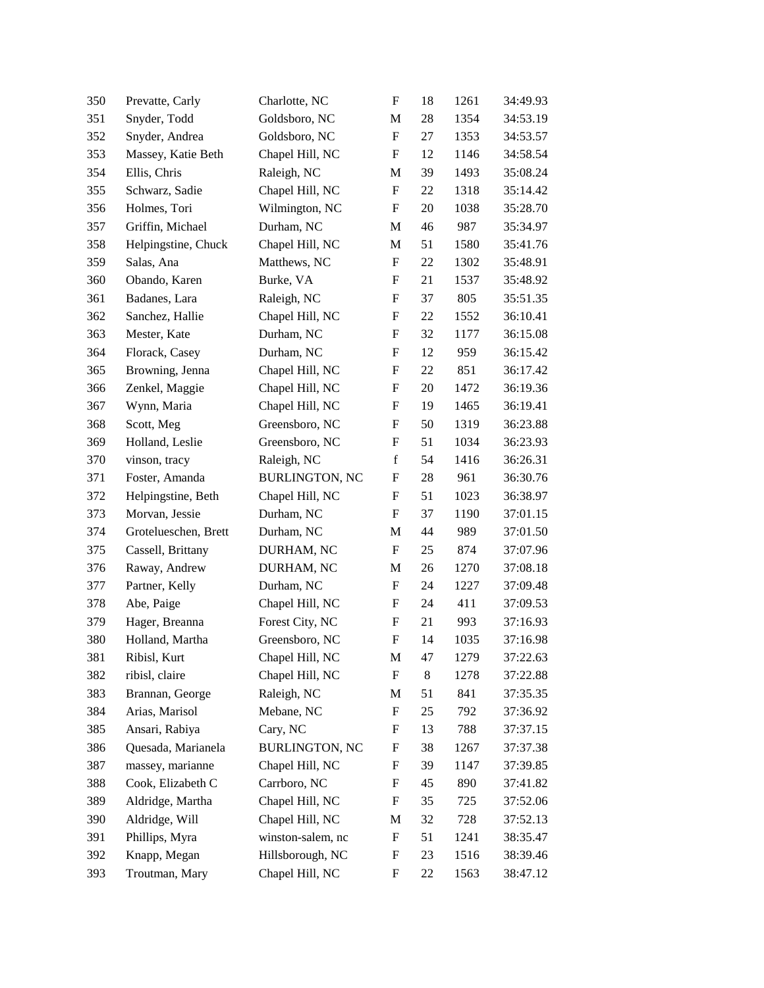| 350 | Prevatte, Carly      | Charlotte, NC         | $\boldsymbol{\mathrm{F}}$ | 18 | 1261 | 34:49.93 |
|-----|----------------------|-----------------------|---------------------------|----|------|----------|
| 351 | Snyder, Todd         | Goldsboro, NC         | M                         | 28 | 1354 | 34:53.19 |
| 352 | Snyder, Andrea       | Goldsboro, NC         | F                         | 27 | 1353 | 34:53.57 |
| 353 | Massey, Katie Beth   | Chapel Hill, NC       | $\mathbf F$               | 12 | 1146 | 34:58.54 |
| 354 | Ellis, Chris         | Raleigh, NC           | M                         | 39 | 1493 | 35:08.24 |
| 355 | Schwarz, Sadie       | Chapel Hill, NC       | $\boldsymbol{\mathrm{F}}$ | 22 | 1318 | 35:14.42 |
| 356 | Holmes, Tori         | Wilmington, NC        | $\mathbf F$               | 20 | 1038 | 35:28.70 |
| 357 | Griffin, Michael     | Durham, NC            | M                         | 46 | 987  | 35:34.97 |
| 358 | Helpingstine, Chuck  | Chapel Hill, NC       | M                         | 51 | 1580 | 35:41.76 |
| 359 | Salas, Ana           | Matthews, NC          | $\boldsymbol{\mathrm{F}}$ | 22 | 1302 | 35:48.91 |
| 360 | Obando, Karen        | Burke, VA             | ${\bf F}$                 | 21 | 1537 | 35:48.92 |
| 361 | Badanes, Lara        | Raleigh, NC           | F                         | 37 | 805  | 35:51.35 |
| 362 | Sanchez, Hallie      | Chapel Hill, NC       | F                         | 22 | 1552 | 36:10.41 |
| 363 | Mester, Kate         | Durham, NC            | $\mathbf F$               | 32 | 1177 | 36:15.08 |
| 364 | Florack, Casey       | Durham, NC            | $\boldsymbol{\mathrm{F}}$ | 12 | 959  | 36:15.42 |
| 365 | Browning, Jenna      | Chapel Hill, NC       | $\mathbf F$               | 22 | 851  | 36:17.42 |
| 366 | Zenkel, Maggie       | Chapel Hill, NC       | F                         | 20 | 1472 | 36:19.36 |
| 367 | Wynn, Maria          | Chapel Hill, NC       | F                         | 19 | 1465 | 36:19.41 |
| 368 | Scott, Meg           | Greensboro, NC        | F                         | 50 | 1319 | 36:23.88 |
| 369 | Holland, Leslie      | Greensboro, NC        | $\mathbf F$               | 51 | 1034 | 36:23.93 |
| 370 | vinson, tracy        | Raleigh, NC           | $\mathbf f$               | 54 | 1416 | 36:26.31 |
| 371 | Foster, Amanda       | <b>BURLINGTON, NC</b> | F                         | 28 | 961  | 36:30.76 |
| 372 | Helpingstine, Beth   | Chapel Hill, NC       | F                         | 51 | 1023 | 36:38.97 |
| 373 | Morvan, Jessie       | Durham, NC            | F                         | 37 | 1190 | 37:01.15 |
| 374 | Grotelueschen, Brett | Durham, NC            | M                         | 44 | 989  | 37:01.50 |
| 375 | Cassell, Brittany    | DURHAM, NC            | $\boldsymbol{\mathrm{F}}$ | 25 | 874  | 37:07.96 |
| 376 | Raway, Andrew        | DURHAM, NC            | M                         | 26 | 1270 | 37:08.18 |
| 377 | Partner, Kelly       | Durham, NC            | F                         | 24 | 1227 | 37:09.48 |
| 378 | Abe, Paige           | Chapel Hill, NC       | $\mathbf F$               | 24 | 411  | 37:09.53 |
| 379 | Hager, Breanna       | Forest City, NC       | $\mathbf F$               | 21 | 993  | 37:16.93 |
| 380 | Holland, Martha      | Greensboro, NC        | $\mathbf F$               | 14 | 1035 | 37:16.98 |
| 381 | Ribisl, Kurt         | Chapel Hill, NC       | M                         | 47 | 1279 | 37:22.63 |
| 382 | ribisl, claire       | Chapel Hill, NC       | F                         | 8  | 1278 | 37:22.88 |
| 383 | Brannan, George      | Raleigh, NC           | M                         | 51 | 841  | 37:35.35 |
| 384 | Arias, Marisol       | Mebane, NC            | F                         | 25 | 792  | 37:36.92 |
| 385 | Ansari, Rabiya       | Cary, NC              | F                         | 13 | 788  | 37:37.15 |
| 386 | Quesada, Marianela   | <b>BURLINGTON, NC</b> | F                         | 38 | 1267 | 37:37.38 |
| 387 | massey, marianne     | Chapel Hill, NC       | F                         | 39 | 1147 | 37:39.85 |
| 388 | Cook, Elizabeth C    | Carrboro, NC          | F                         | 45 | 890  | 37:41.82 |
| 389 | Aldridge, Martha     | Chapel Hill, NC       | $\mathbf F$               | 35 | 725  | 37:52.06 |
| 390 | Aldridge, Will       | Chapel Hill, NC       | M                         | 32 | 728  | 37:52.13 |
| 391 | Phillips, Myra       | winston-salem, nc     | F                         | 51 | 1241 | 38:35.47 |
| 392 | Knapp, Megan         | Hillsborough, NC      | F                         | 23 | 1516 | 38:39.46 |
| 393 | Troutman, Mary       | Chapel Hill, NC       | F                         | 22 | 1563 | 38:47.12 |